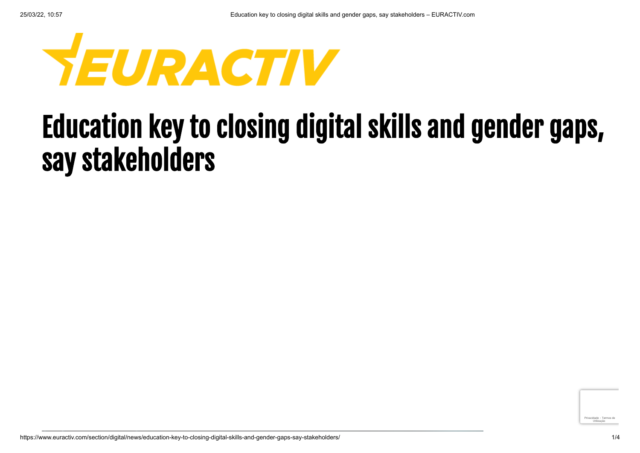

## Education key to closing digital skills and gender gaps, say stakeholders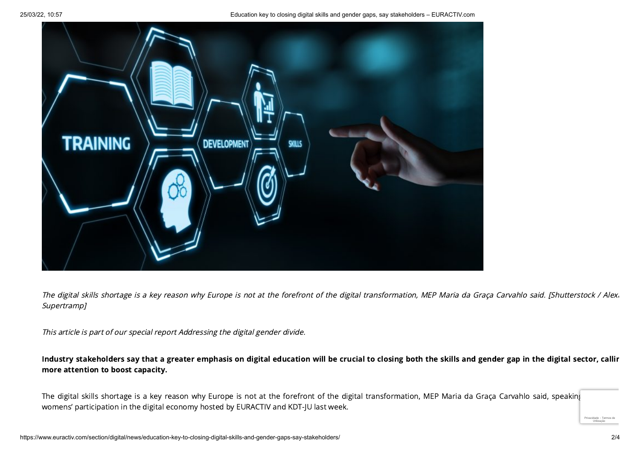25/03/22, 10:57 Education key to closing digital skills and gender gaps, say stakeholders – EURACTIV.com



The digital skills shortage is a key reason why Europe is not at the forefront of the digital transformation, MEP Maria da Graça Carvahlo said. [Shutterstock / Alexa] Supertramp]

This article is part of our special report [Addressing](https://www.euractiv.com/section/digital/special_report/addressing-the-digital-gender-divide/) the digital gender divide.

Industry stakeholders say that a greater emphasis on digital education will be crucial to closing both the skills and gender gap in the digital sector, callin more attention to boost capacity.

The digital skills shortage is a key reason why Europe is not at the forefront of the digital transformation, MEP Maria da Graça Carvahlo said, speaking womens' participation in the digital economy hosted by EURACTIV and KDT-JU last week.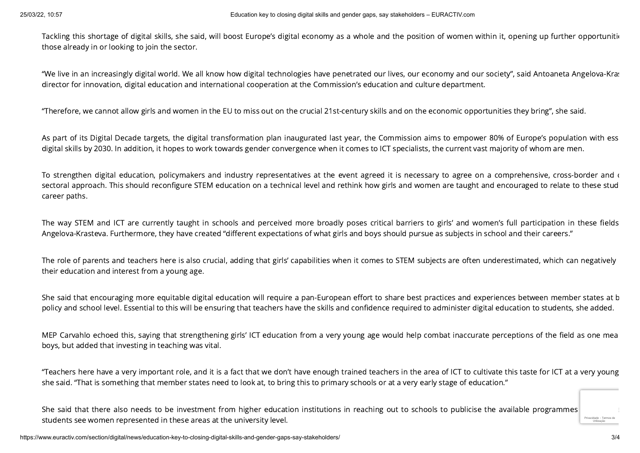Tackling this shortage of digital skills, she said, will boost Europe's digital economy as a whole and the position of women within it, opening up further opportunitie those already in or looking to join the sector.

"We live in an increasingly digital world. We all know how digital technologies have penetrated our lives, our economy and our society", said Antoaneta Angelova-Kras director for innovation, digital education and international cooperation at the Commission's education and culture department.

"Therefore, we cannot allow girls and women in the EU to miss out on the crucial 21st-century skills and on the economic opportunities they bring", she said.

As part of its Digital Decade targets, the digital transformation plan inaugurated last year, the Commission aims to empower 80% of Europe's population with ess digital skills by 2030. In addition, it hopes to work towards gender convergence when it comes to ICT specialists, the current vast majority of whom are men.

To strengthen digital education, policymakers and industry representatives at the event agreed it is necessary to agree on a comprehensive, cross-border and c sectoral approach. This should reconfigure STEM education on a technical level and rethink how girls and women are taught and encouraged to relate to these stud career paths.

The way STEM and ICT are currently taught in schools and perceived more broadly poses critical barriers to girls' and women's full participation in these fields Angelova-Krasteva. Furthermore, they have created "different expectations of what girls and boys should pursue as subjects in school and their careers."

The role of parents and teachers here is also crucial, adding that girls' capabilities when it comes to STEM subjects are often underestimated, which can negatively their education and interest from a young age.

She said that encouraging more equitable digital education will require a pan-European effort to share best practices and experiences between member states at b policy and school level. Essential to this will be ensuring that teachers have the skills and confidence required to administer digital education to students, she added.

MEP Carvahlo echoed this, saying that strengthening girls' ICT education from a very young age would help combat inaccurate perceptions of the field as one mea boys, but added that investing in teaching was vital.

"Teachers here have a very important role, and it is a fact that we don't have enough trained teachers in the area of ICT to cultivate this taste for ICT at a very young she said. "That is something that member states need to look at, to bring this to primary schools or at a very early stage of education."

She said that there also needs to be investment from higher education institutions in reaching out to schools to publicise the available programmes students see women represented in these areas at the university level.